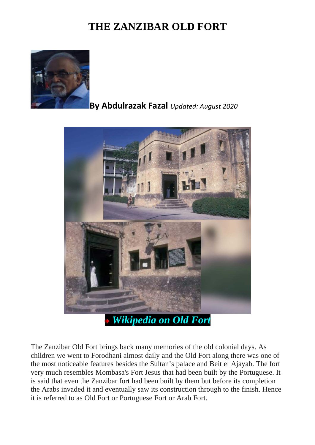## **THE ZANZIBAR OLD FORT**



## **By Abdulrazak Fazal** *Updated: August 2020*



The Zanzibar Old Fort brings back many memories of the old colonial days. As children we went to Forodhani almost daily and the Old Fort along there was one of the most noticeable features besides the Sultan's palace and Beit el Ajayab. The fort very much resembles Mombasa's Fort Jesus that had been built by the Portuguese. It is said that even the Zanzibar fort had been built by them but before its completion the Arabs invaded it and eventually saw its construction through to the finish. Hence it is referred to as Old Fort or Portuguese Fort or Arab Fort.